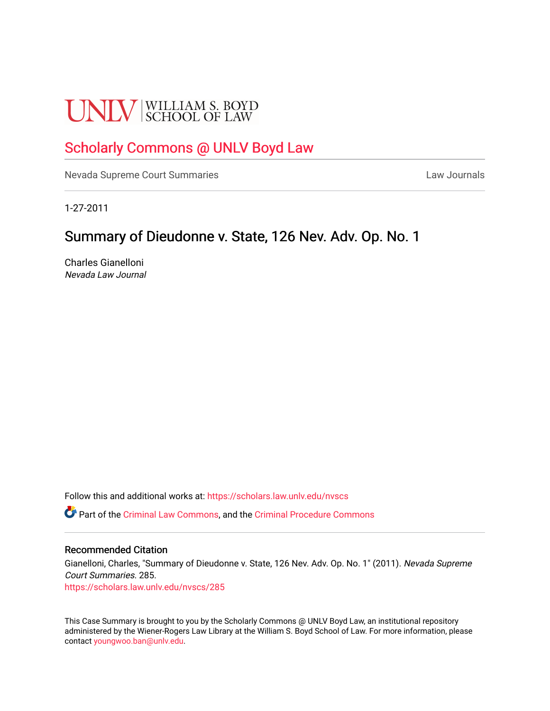# **UNLV** SCHOOL OF LAW

## [Scholarly Commons @ UNLV Boyd Law](https://scholars.law.unlv.edu/)

[Nevada Supreme Court Summaries](https://scholars.law.unlv.edu/nvscs) **Law Journals** Law Journals

1-27-2011

### Summary of Dieudonne v. State, 126 Nev. Adv. Op. No. 1

Charles Gianelloni Nevada Law Journal

Follow this and additional works at: [https://scholars.law.unlv.edu/nvscs](https://scholars.law.unlv.edu/nvscs?utm_source=scholars.law.unlv.edu%2Fnvscs%2F285&utm_medium=PDF&utm_campaign=PDFCoverPages)

Part of the [Criminal Law Commons,](http://network.bepress.com/hgg/discipline/912?utm_source=scholars.law.unlv.edu%2Fnvscs%2F285&utm_medium=PDF&utm_campaign=PDFCoverPages) and the [Criminal Procedure Commons](http://network.bepress.com/hgg/discipline/1073?utm_source=scholars.law.unlv.edu%2Fnvscs%2F285&utm_medium=PDF&utm_campaign=PDFCoverPages)

#### Recommended Citation

Gianelloni, Charles, "Summary of Dieudonne v. State, 126 Nev. Adv. Op. No. 1" (2011). Nevada Supreme Court Summaries. 285. [https://scholars.law.unlv.edu/nvscs/285](https://scholars.law.unlv.edu/nvscs/285?utm_source=scholars.law.unlv.edu%2Fnvscs%2F285&utm_medium=PDF&utm_campaign=PDFCoverPages)

This Case Summary is brought to you by the Scholarly Commons @ UNLV Boyd Law, an institutional repository administered by the Wiener-Rogers Law Library at the William S. Boyd School of Law. For more information, please contact [youngwoo.ban@unlv.edu](mailto:youngwoo.ban@unlv.edu).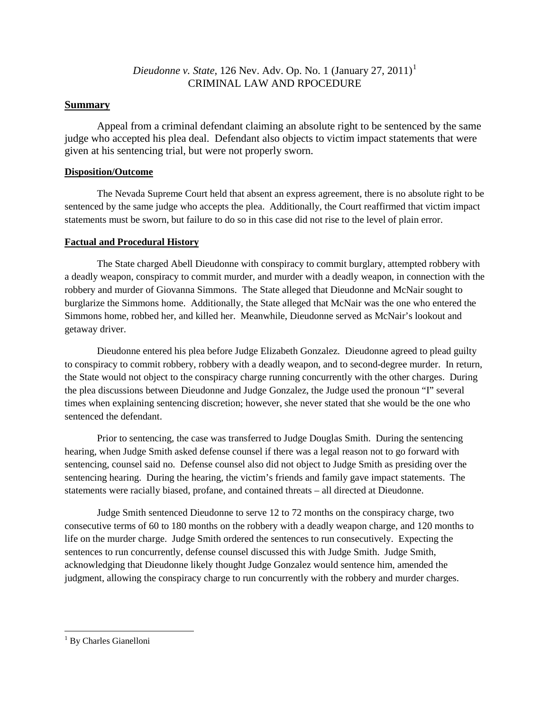#### *Dieudonne v. State*, 126 Nev. Adv. Op. No. 1 (January 27, 2011) [1](#page-1-0) CRIMINAL LAW AND RPOCEDURE

#### **Summary**

Appeal from a criminal defendant claiming an absolute right to be sentenced by the same judge who accepted his plea deal. Defendant also objects to victim impact statements that were given at his sentencing trial, but were not properly sworn.

#### **Disposition/Outcome**

The Nevada Supreme Court held that absent an express agreement, there is no absolute right to be sentenced by the same judge who accepts the plea. Additionally, the Court reaffirmed that victim impact statements must be sworn, but failure to do so in this case did not rise to the level of plain error.

#### **Factual and Procedural History**

The State charged Abell Dieudonne with conspiracy to commit burglary, attempted robbery with a deadly weapon, conspiracy to commit murder, and murder with a deadly weapon, in connection with the robbery and murder of Giovanna Simmons. The State alleged that Dieudonne and McNair sought to burglarize the Simmons home. Additionally, the State alleged that McNair was the one who entered the Simmons home, robbed her, and killed her. Meanwhile, Dieudonne served as McNair's lookout and getaway driver.

Dieudonne entered his plea before Judge Elizabeth Gonzalez. Dieudonne agreed to plead guilty to conspiracy to commit robbery, robbery with a deadly weapon, and to second-degree murder. In return, the State would not object to the conspiracy charge running concurrently with the other charges. During the plea discussions between Dieudonne and Judge Gonzalez, the Judge used the pronoun "I" several times when explaining sentencing discretion; however, she never stated that she would be the one who sentenced the defendant.

Prior to sentencing, the case was transferred to Judge Douglas Smith. During the sentencing hearing, when Judge Smith asked defense counsel if there was a legal reason not to go forward with sentencing, counsel said no. Defense counsel also did not object to Judge Smith as presiding over the sentencing hearing. During the hearing, the victim's friends and family gave impact statements. The statements were racially biased, profane, and contained threats – all directed at Dieudonne.

Judge Smith sentenced Dieudonne to serve 12 to 72 months on the conspiracy charge, two consecutive terms of 60 to 180 months on the robbery with a deadly weapon charge, and 120 months to life on the murder charge. Judge Smith ordered the sentences to run consecutively. Expecting the sentences to run concurrently, defense counsel discussed this with Judge Smith. Judge Smith, acknowledging that Dieudonne likely thought Judge Gonzalez would sentence him, amended the judgment, allowing the conspiracy charge to run concurrently with the robbery and murder charges.

<span id="page-1-0"></span><sup>&</sup>lt;sup>1</sup> By Charles Gianelloni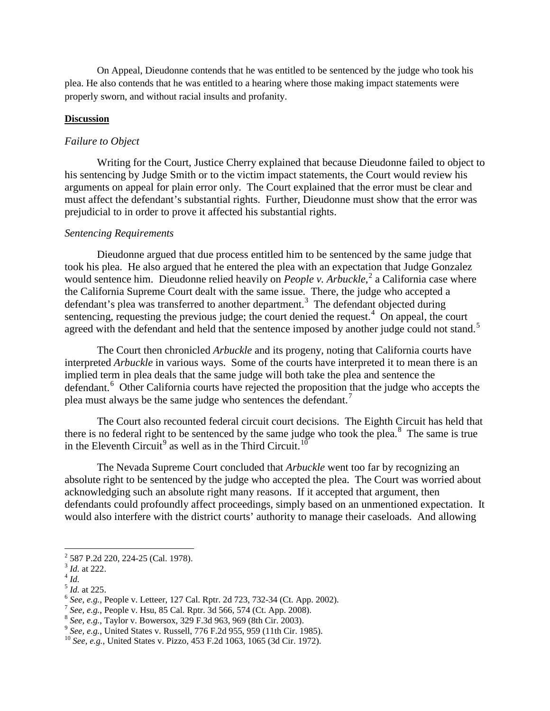On Appeal, Dieudonne contends that he was entitled to be sentenced by the judge who took his plea. He also contends that he was entitled to a hearing where those making impact statements were properly sworn, and without racial insults and profanity.

#### **Discussion**

#### *Failure to Object*

Writing for the Court, Justice Cherry explained that because Dieudonne failed to object to his sentencing by Judge Smith or to the victim impact statements, the Court would review his arguments on appeal for plain error only. The Court explained that the error must be clear and must affect the defendant's substantial rights. Further, Dieudonne must show that the error was prejudicial to in order to prove it affected his substantial rights.

#### *Sentencing Requirements*

Dieudonne argued that due process entitled him to be sentenced by the same judge that took his plea. He also argued that he entered the plea with an expectation that Judge Gonzalez would sentence him. Dieudonne relied heavily on *People v. Arbuckle*,<sup>[2](#page-2-0)</sup> a California case where the California Supreme Court dealt with the same issue. There, the judge who accepted a defendant's plea was transferred to another department.<sup>[3](#page-2-1)</sup> The defendant objected during sentencing, requesting the previous judge; the court denied the request. $4$  On appeal, the court agreed with the defendant and held that the sentence imposed by another judge could not stand.<sup>[5](#page-2-3)</sup>

The Court then chronicled *Arbuckle* and its progeny, noting that California courts have interpreted *Arbuckle* in various ways. Some of the courts have interpreted it to mean there is an implied term in plea deals that the same judge will both take the plea and sentence the defendant.<sup>[6](#page-2-4)</sup> Other California courts have rejected the proposition that the judge who accepts the plea must always be the same judge who sentences the defendant.<sup>[7](#page-2-5)</sup>

The Court also recounted federal circuit court decisions. The Eighth Circuit has held that there is no federal right to be sentenced by the same judge who took the plea.<sup>[8](#page-2-6)</sup> The same is true in the Eleventh Circuit<sup>[9](#page-2-7)</sup> as well as in the Third Circuit.<sup>[10](#page-2-8)</sup>

The Nevada Supreme Court concluded that *Arbuckle* went too far by recognizing an absolute right to be sentenced by the judge who accepted the plea. The Court was worried about acknowledging such an absolute right many reasons. If it accepted that argument, then defendants could profoundly affect proceedings, simply based on an unmentioned expectation. It would also interfere with the district courts' authority to manage their caseloads. And allowing

<span id="page-2-1"></span><span id="page-2-0"></span><sup>&</sup>lt;sup>2</sup> 587 P.2d 220, 224-25 (Cal. 1978).<br>
<sup>3</sup> *Id.* at 222.<br>
<sup>4</sup> *Id.*<br>
<sup>5</sup> *Id.* at 225.

<span id="page-2-2"></span>

<span id="page-2-4"></span><span id="page-2-3"></span><sup>&</sup>lt;sup>6</sup> *See, e.g.*, People v. Letteer, 127 Cal. Rptr. 2d 723, 732-34 (Ct. App. 2002).<br>
<sup>7</sup> *See, e.g.*, People v. Hsu, 85 Cal. Rptr. 3d 566, 574 (Ct. App. 2008).<br>
<sup>8</sup> *See, e.g.*, Taylor v. Bowersox, 329 F.3d 963, 969 (8th C

<span id="page-2-5"></span>

<span id="page-2-6"></span>

<span id="page-2-7"></span>

<span id="page-2-8"></span>